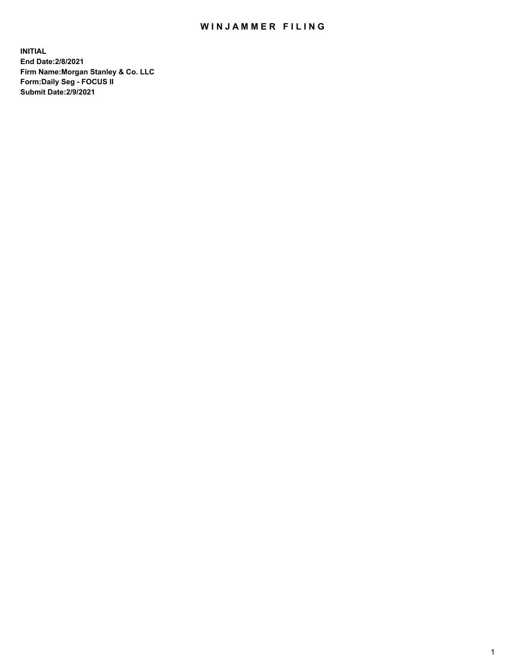## WIN JAMMER FILING

**INITIAL End Date:2/8/2021 Firm Name:Morgan Stanley & Co. LLC Form:Daily Seg - FOCUS II Submit Date:2/9/2021**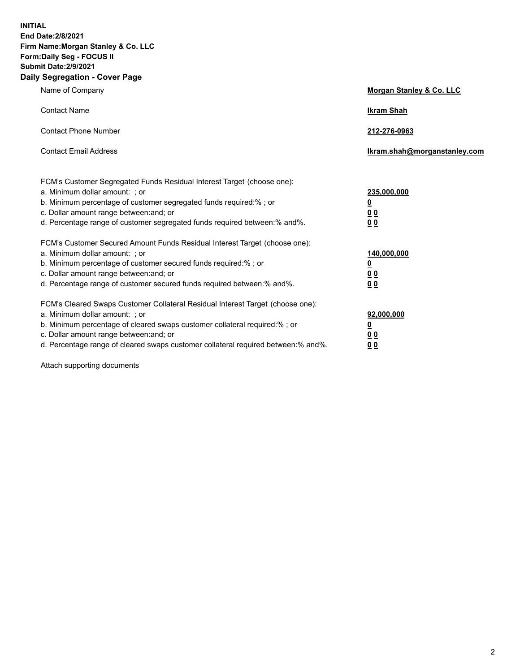**INITIAL End Date:2/8/2021 Firm Name:Morgan Stanley & Co. LLC Form:Daily Seg - FOCUS II Submit Date:2/9/2021 Daily Segregation - Cover Page**

| Name of Company                                                                                                                                                                                                                                                                                                                | Morgan Stanley & Co. LLC                                   |
|--------------------------------------------------------------------------------------------------------------------------------------------------------------------------------------------------------------------------------------------------------------------------------------------------------------------------------|------------------------------------------------------------|
| <b>Contact Name</b>                                                                                                                                                                                                                                                                                                            | <b>Ikram Shah</b>                                          |
| <b>Contact Phone Number</b>                                                                                                                                                                                                                                                                                                    | 212-276-0963                                               |
| <b>Contact Email Address</b>                                                                                                                                                                                                                                                                                                   | lkram.shah@morganstanley.com                               |
| FCM's Customer Segregated Funds Residual Interest Target (choose one):<br>a. Minimum dollar amount: ; or<br>b. Minimum percentage of customer segregated funds required:% ; or<br>c. Dollar amount range between: and; or<br>d. Percentage range of customer segregated funds required between:% and%.                         | 235,000,000<br><u>0</u><br><u>00</u><br>0 <sup>0</sup>     |
| FCM's Customer Secured Amount Funds Residual Interest Target (choose one):<br>a. Minimum dollar amount: ; or<br>b. Minimum percentage of customer secured funds required:%; or<br>c. Dollar amount range between: and; or<br>d. Percentage range of customer secured funds required between:% and%.                            | 140,000,000<br><u>0</u><br><u>0 0</u><br>0 Q               |
| FCM's Cleared Swaps Customer Collateral Residual Interest Target (choose one):<br>a. Minimum dollar amount: ; or<br>b. Minimum percentage of cleared swaps customer collateral required:% ; or<br>c. Dollar amount range between: and; or<br>d. Percentage range of cleared swaps customer collateral required between:% and%. | 92,000,000<br><u>0</u><br>0 <sup>0</sup><br>0 <sub>0</sub> |

Attach supporting documents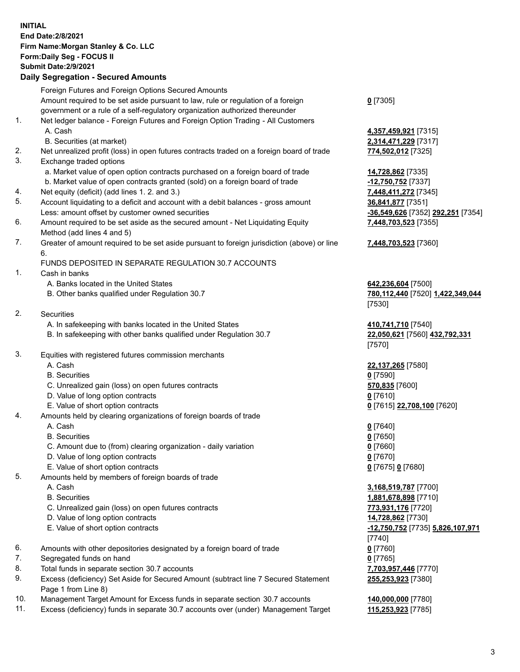## **INITIAL End Date:2/8/2021 Firm Name:Morgan Stanley & Co. LLC Form:Daily Seg - FOCUS II Submit Date:2/9/2021 Daily Segregation - Secured Amounts** Foreign Futures and Foreign Options Secured Amounts Amount required to be set aside pursuant to law, rule or regulation of a foreign government or a rule of a self-regulatory organization authorized thereunder

- 1. Net ledger balance Foreign Futures and Foreign Option Trading All Customers A. Cash **4,357,459,921** [7315] B. Securities (at market) **2,314,471,229** [7317] 2. Net unrealized profit (loss) in open futures contracts traded on a foreign board of trade **774,502,012** [7325] 3. Exchange traded options a. Market value of open option contracts purchased on a foreign board of trade **14,728,862** [7335] b. Market value of open contracts granted (sold) on a foreign board of trade **-12,750,752** [7337] 4. Net equity (deficit) (add lines 1. 2. and 3.) **7,448,411,272** [7345] 5. Account liquidating to a deficit and account with a debit balances - gross amount **36,841,877** [7351] Less: amount offset by customer owned securities **-36,549,626** [7352] **292,251** [7354] 6. Amount required to be set aside as the secured amount - Net Liquidating Equity Method (add lines 4 and 5) 7. Greater of amount required to be set aside pursuant to foreign jurisdiction (above) or line 6. FUNDS DEPOSITED IN SEPARATE REGULATION 30.7 ACCOUNTS 1. Cash in banks A. Banks located in the United States **642,236,604** [7500]
	- B. Other banks qualified under Regulation 30.7 **780,112,440** [7520] **1,422,349,044**
- 2. Securities
	- A. In safekeeping with banks located in the United States **410,741,710** [7540]
	- B. In safekeeping with other banks qualified under Regulation 30.7 **22,050,621** [7560] **432,792,331**
- 3. Equities with registered futures commission merchants
	-
	- B. Securities **0** [7590]
	- C. Unrealized gain (loss) on open futures contracts **570,835** [7600]
	- D. Value of long option contracts **0** [7610]
	- E. Value of short option contracts **0** [7615] **22,708,100** [7620]
- 4. Amounts held by clearing organizations of foreign boards of trade
	- A. Cash **0** [7640]
	- B. Securities **0** [7650]
	- C. Amount due to (from) clearing organization daily variation **0** [7660]
	- D. Value of long option contracts **0** [7670]
	- E. Value of short option contracts **0** [7675] **0** [7680]
- 5. Amounts held by members of foreign boards of trade
	-
	-
	- C. Unrealized gain (loss) on open futures contracts **773,931,176** [7720]
	- D. Value of long option contracts **14,728,862** [7730]
	- E. Value of short option contracts **-12,750,752** [7735] **5,826,107,971**
- 6. Amounts with other depositories designated by a foreign board of trade **0** [7760]
- 7. Segregated funds on hand **0** [7765]
- 8. Total funds in separate section 30.7 accounts **7,703,957,446** [7770]
- 9. Excess (deficiency) Set Aside for Secured Amount (subtract line 7 Secured Statement Page 1 from Line 8)
- 10. Management Target Amount for Excess funds in separate section 30.7 accounts **140,000,000** [7780]
- 11. Excess (deficiency) funds in separate 30.7 accounts over (under) Management Target **115,253,923** [7785]

**0** [7305]

**7,448,703,523** [7355]

## **7,448,703,523** [7360]

[7530]

[7570]

A. Cash **22,137,265** [7580]

 A. Cash **3,168,519,787** [7700] B. Securities **1,881,678,898** [7710] [7740] **255,253,923** [7380]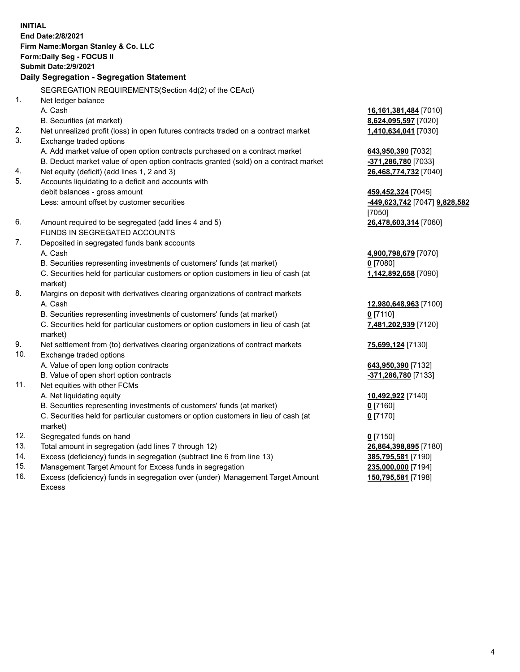**INITIAL End Date:2/8/2021 Firm Name:Morgan Stanley & Co. LLC Form:Daily Seg - FOCUS II Submit Date:2/9/2021 Daily Segregation - Segregation Statement** SEGREGATION REQUIREMENTS(Section 4d(2) of the CEAct) 1. Net ledger balance A. Cash **16,161,381,484** [7010] B. Securities (at market) **8,624,095,597** [7020] 2. Net unrealized profit (loss) in open futures contracts traded on a contract market **1,410,634,041** [7030] 3. Exchange traded options A. Add market value of open option contracts purchased on a contract market **643,950,390** [7032] B. Deduct market value of open option contracts granted (sold) on a contract market **-371,286,780** [7033] 4. Net equity (deficit) (add lines 1, 2 and 3) **26,468,774,732** [7040] 5. Accounts liquidating to a deficit and accounts with debit balances - gross amount **459,452,324** [7045] Less: amount offset by customer securities **-449,623,742** [7047] **9,828,582** [7050] 6. Amount required to be segregated (add lines 4 and 5) **26,478,603,314** [7060] FUNDS IN SEGREGATED ACCOUNTS 7. Deposited in segregated funds bank accounts A. Cash **4,900,798,679** [7070] B. Securities representing investments of customers' funds (at market) **0** [7080] C. Securities held for particular customers or option customers in lieu of cash (at market) **1,142,892,658** [7090] 8. Margins on deposit with derivatives clearing organizations of contract markets A. Cash **12,980,648,963** [7100] B. Securities representing investments of customers' funds (at market) **0** [7110] C. Securities held for particular customers or option customers in lieu of cash (at market) **7,481,202,939** [7120] 9. Net settlement from (to) derivatives clearing organizations of contract markets **75,699,124** [7130] 10. Exchange traded options A. Value of open long option contracts **643,950,390** [7132] B. Value of open short option contracts **-371,286,780** [7133] 11. Net equities with other FCMs A. Net liquidating equity **10,492,922** [7140] B. Securities representing investments of customers' funds (at market) **0** [7160] C. Securities held for particular customers or option customers in lieu of cash (at market) **0** [7170] 12. Segregated funds on hand **0** [7150] 13. Total amount in segregation (add lines 7 through 12) **26,864,398,895** [7180] 14. Excess (deficiency) funds in segregation (subtract line 6 from line 13) **385,795,581** [7190] 15. Management Target Amount for Excess funds in segregation **235,000,000** [7194]

16. Excess (deficiency) funds in segregation over (under) Management Target Amount Excess

**150,795,581** [7198]